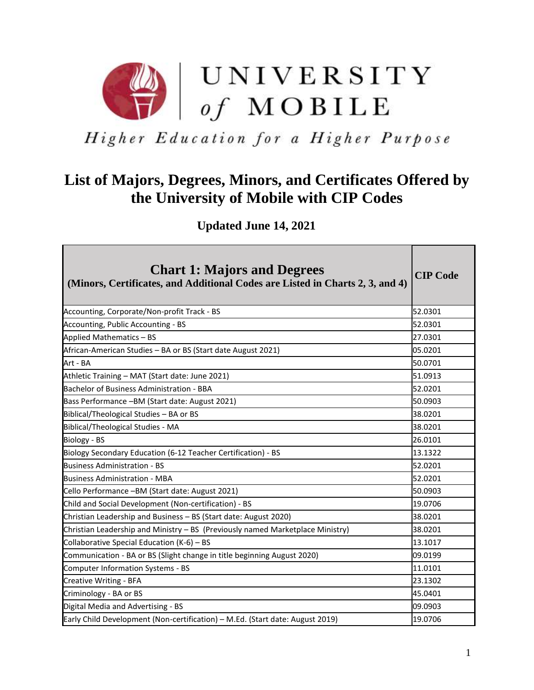

Higher Education for a Higher Purpose

## **List of Majors, Degrees, Minors, and Certificates Offered by the University of Mobile with CIP Codes**

 **Updated June 14, 2021**

| <b>Chart 1: Majors and Degrees</b><br>(Minors, Certificates, and Additional Codes are Listed in Charts 2, 3, and 4) | <b>CIP Code</b> |
|---------------------------------------------------------------------------------------------------------------------|-----------------|
| Accounting, Corporate/Non-profit Track - BS                                                                         | 52.0301         |
| Accounting, Public Accounting - BS                                                                                  | 52.0301         |
| Applied Mathematics - BS                                                                                            | 27.0301         |
| African-American Studies - BA or BS (Start date August 2021)                                                        | 05.0201         |
| Art - BA                                                                                                            | 50.0701         |
| Athletic Training - MAT (Start date: June 2021)                                                                     | 51.0913         |
| <b>Bachelor of Business Administration - BBA</b>                                                                    | 52.0201         |
| Bass Performance -BM (Start date: August 2021)                                                                      | 50.0903         |
| Biblical/Theological Studies - BA or BS                                                                             | 38.0201         |
| <b>Biblical/Theological Studies - MA</b>                                                                            | 38.0201         |
| Biology - BS                                                                                                        | 26.0101         |
| Biology Secondary Education (6-12 Teacher Certification) - BS                                                       | 13.1322         |
| <b>Business Administration - BS</b>                                                                                 | 52.0201         |
| <b>Business Administration - MBA</b>                                                                                | 52.0201         |
| Cello Performance -BM (Start date: August 2021)                                                                     | 50.0903         |
| Child and Social Development (Non-certification) - BS                                                               | 19.0706         |
| Christian Leadership and Business - BS (Start date: August 2020)                                                    | 38.0201         |
| Christian Leadership and Ministry - BS (Previously named Marketplace Ministry)                                      | 38.0201         |
| Collaborative Special Education (K-6) - BS                                                                          | 13.1017         |
| Communication - BA or BS (Slight change in title beginning August 2020)                                             | 09.0199         |
| Computer Information Systems - BS                                                                                   | 11.0101         |
| <b>Creative Writing - BFA</b>                                                                                       | 23.1302         |
| Criminology - BA or BS                                                                                              | 45.0401         |
| Digital Media and Advertising - BS                                                                                  | 09.0903         |
| Early Child Development (Non-certification) - M.Ed. (Start date: August 2019)                                       | 19.0706         |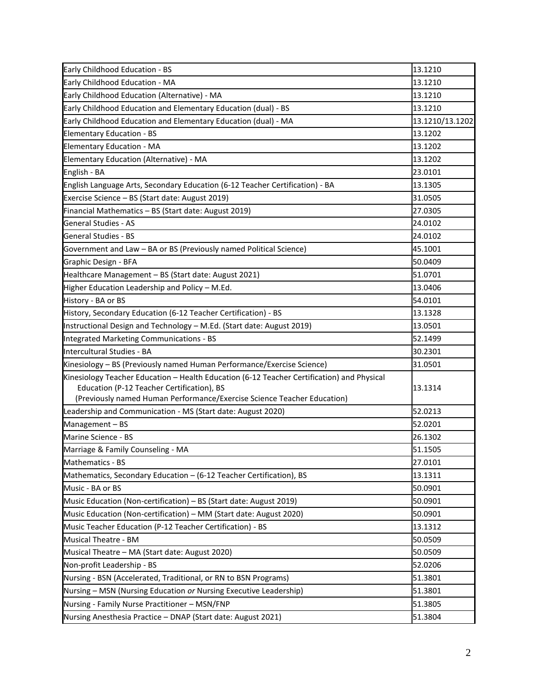| Early Childhood Education - BS                                                             | 13.1210         |
|--------------------------------------------------------------------------------------------|-----------------|
| Early Childhood Education - MA                                                             | 13.1210         |
| Early Childhood Education (Alternative) - MA                                               | 13.1210         |
| Early Childhood Education and Elementary Education (dual) - BS                             | 13.1210         |
| Early Childhood Education and Elementary Education (dual) - MA                             | 13.1210/13.1202 |
| Elementary Education - BS                                                                  | 13.1202         |
| <b>Elementary Education - MA</b>                                                           | 13.1202         |
| Elementary Education (Alternative) - MA                                                    | 13.1202         |
| English - BA                                                                               | 23.0101         |
| English Language Arts, Secondary Education (6-12 Teacher Certification) - BA               | 13.1305         |
| Exercise Science - BS (Start date: August 2019)                                            | 31.0505         |
| Financial Mathematics - BS (Start date: August 2019)                                       | 27.0305         |
| <b>General Studies - AS</b>                                                                | 24.0102         |
| <b>General Studies - BS</b>                                                                | 24.0102         |
| Government and Law - BA or BS (Previously named Political Science)                         | 45.1001         |
| Graphic Design - BFA                                                                       | 50.0409         |
| Healthcare Management - BS (Start date: August 2021)                                       | 51.0701         |
| Higher Education Leadership and Policy - M.Ed.                                             | 13.0406         |
| History - BA or BS                                                                         | 54.0101         |
| History, Secondary Education (6-12 Teacher Certification) - BS                             | 13.1328         |
| Instructional Design and Technology - M.Ed. (Start date: August 2019)                      | 13.0501         |
| Integrated Marketing Communications - BS                                                   | 52.1499         |
| Intercultural Studies - BA                                                                 | 30.2301         |
| Kinesiology - BS (Previously named Human Performance/Exercise Science)                     | 31.0501         |
| Kinesiology Teacher Education - Health Education (6-12 Teacher Certification) and Physical |                 |
| Education (P-12 Teacher Certification), BS                                                 | 13.1314         |
| (Previously named Human Performance/Exercise Science Teacher Education)                    |                 |
| Leadership and Communication - MS (Start date: August 2020)                                | 52.0213         |
| Management-BS                                                                              | 52.0201         |
| Marine Science - BS                                                                        | 26.1302         |
| Marriage & Family Counseling - MA                                                          | 51.1505         |
| Mathematics - BS                                                                           | 27.0101         |
| Mathematics, Secondary Education - (6-12 Teacher Certification), BS                        | 13.1311         |
| Music - BA or BS                                                                           | 50.0901         |
| Music Education (Non-certification) - BS (Start date: August 2019)                         | 50.0901         |
| Music Education (Non-certification) - MM (Start date: August 2020)                         | 50.0901         |
| Music Teacher Education (P-12 Teacher Certification) - BS                                  | 13.1312         |
| <b>Musical Theatre - BM</b>                                                                | 50.0509         |
| Musical Theatre - MA (Start date: August 2020)                                             | 50.0509         |
| Non-profit Leadership - BS                                                                 | 52.0206         |
| Nursing - BSN (Accelerated, Traditional, or RN to BSN Programs)                            | 51.3801         |
| Nursing - MSN (Nursing Education or Nursing Executive Leadership)                          | 51.3801         |
| Nursing - Family Nurse Practitioner - MSN/FNP                                              | 51.3805         |
| Nursing Anesthesia Practice - DNAP (Start date: August 2021)                               | 51.3804         |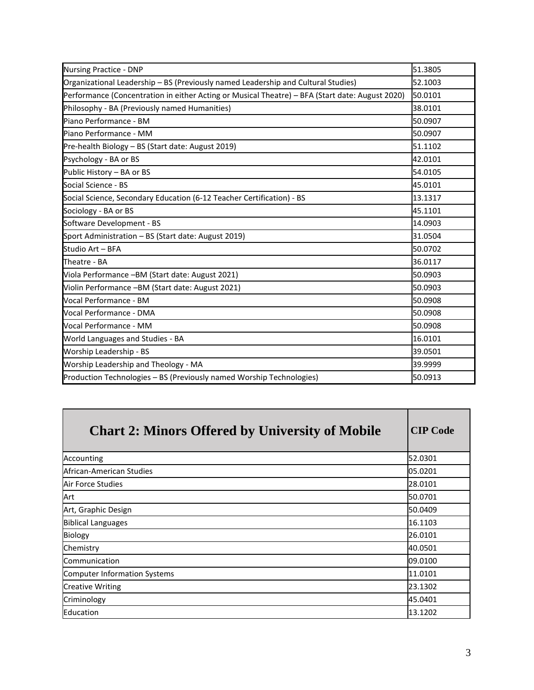| <b>Nursing Practice - DNP</b>                                                                   | 51.3805 |
|-------------------------------------------------------------------------------------------------|---------|
| Organizational Leadership - BS (Previously named Leadership and Cultural Studies)               | 52.1003 |
| Performance (Concentration in either Acting or Musical Theatre) - BFA (Start date: August 2020) | 50.0101 |
| Philosophy - BA (Previously named Humanities)                                                   | 38.0101 |
| Piano Performance - BM                                                                          | 50.0907 |
| Piano Performance - MM                                                                          | 50.0907 |
| Pre-health Biology - BS (Start date: August 2019)                                               | 51.1102 |
| Psychology - BA or BS                                                                           | 42.0101 |
| Public History - BA or BS                                                                       | 54.0105 |
| Social Science - BS                                                                             | 45.0101 |
| Social Science, Secondary Education (6-12 Teacher Certification) - BS                           | 13.1317 |
| Sociology - BA or BS                                                                            | 45.1101 |
| Software Development - BS                                                                       | 14.0903 |
| Sport Administration - BS (Start date: August 2019)                                             | 31.0504 |
| Studio Art - BFA                                                                                | 50.0702 |
| Theatre - BA                                                                                    | 36.0117 |
| Viola Performance -BM (Start date: August 2021)                                                 | 50.0903 |
| Violin Performance -BM (Start date: August 2021)                                                | 50.0903 |
| Vocal Performance - BM                                                                          | 50.0908 |
| Vocal Performance - DMA                                                                         | 50.0908 |
| Vocal Performance - MM                                                                          | 50.0908 |
| World Languages and Studies - BA                                                                | 16.0101 |
| Worship Leadership - BS                                                                         | 39.0501 |
| Worship Leadership and Theology - MA                                                            | 39.9999 |
| Production Technologies - BS (Previously named Worship Technologies)                            | 50.0913 |

| <b>Chart 2: Minors Offered by University of Mobile</b> | <b>CIP Code</b> |
|--------------------------------------------------------|-----------------|
| Accounting                                             | 52.0301         |
| African-American Studies                               | 05.0201         |
| Air Force Studies                                      | 28.0101         |
| Art                                                    | 50.0701         |
| Art, Graphic Design                                    | 50.0409         |
| <b>Biblical Languages</b>                              | 16.1103         |
| <b>Biology</b>                                         | 26.0101         |
| Chemistry                                              | 40.0501         |
| Communication                                          | 09.0100         |
| <b>Computer Information Systems</b>                    | 11.0101         |
| <b>Creative Writing</b>                                | 23.1302         |
| Criminology                                            | 45.0401         |
| Education                                              | 13.1202         |